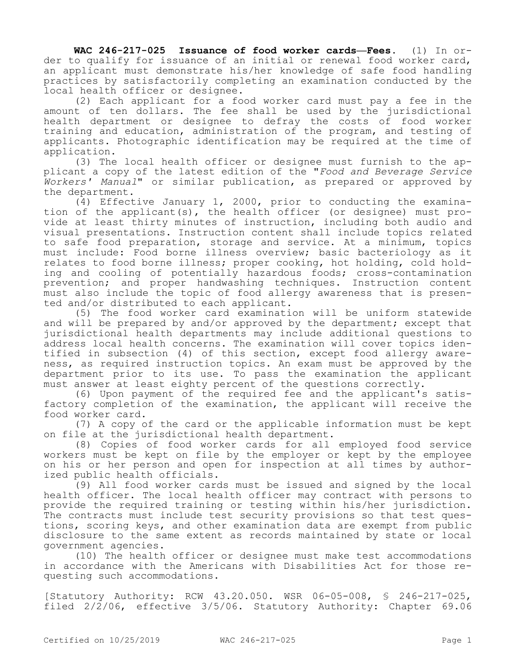**WAC 246-217-025 Issuance of food worker cards—Fees.** (1) In order to qualify for issuance of an initial or renewal food worker card, an applicant must demonstrate his/her knowledge of safe food handling practices by satisfactorily completing an examination conducted by the local health officer or designee.

(2) Each applicant for a food worker card must pay a fee in the amount of ten dollars. The fee shall be used by the jurisdictional health department or designee to defray the costs of food worker training and education, administration of the program, and testing of applicants. Photographic identification may be required at the time of application.

(3) The local health officer or designee must furnish to the applicant a copy of the latest edition of the "*Food and Beverage Service Workers' Manual*" or similar publication, as prepared or approved by the department.

(4) Effective January 1, 2000, prior to conducting the examination of the applicant(s), the health officer (or designee) must provide at least thirty minutes of instruction, including both audio and visual presentations. Instruction content shall include topics related to safe food preparation, storage and service. At a minimum, topics must include: Food borne illness overview; basic bacteriology as it relates to food borne illness; proper cooking, hot holding, cold holding and cooling of potentially hazardous foods; cross-contamination prevention; and proper handwashing techniques. Instruction content must also include the topic of food allergy awareness that is presented and/or distributed to each applicant.

(5) The food worker card examination will be uniform statewide and will be prepared by and/or approved by the department; except that jurisdictional health departments may include additional questions to address local health concerns. The examination will cover topics identified in subsection (4) of this section, except food allergy awareness, as required instruction topics. An exam must be approved by the department prior to its use. To pass the examination the applicant must answer at least eighty percent of the questions correctly.

(6) Upon payment of the required fee and the applicant's satisfactory completion of the examination, the applicant will receive the food worker card.

(7) A copy of the card or the applicable information must be kept on file at the jurisdictional health department.

(8) Copies of food worker cards for all employed food service workers must be kept on file by the employer or kept by the employee on his or her person and open for inspection at all times by authorized public health officials.

(9) All food worker cards must be issued and signed by the local health officer. The local health officer may contract with persons to provide the required training or testing within his/her jurisdiction. The contracts must include test security provisions so that test questions, scoring keys, and other examination data are exempt from public disclosure to the same extent as records maintained by state or local government agencies.

(10) The health officer or designee must make test accommodations in accordance with the Americans with Disabilities Act for those requesting such accommodations.

[Statutory Authority: RCW 43.20.050. WSR 06-05-008, § 246-217-025, filed 2/2/06, effective 3/5/06. Statutory Authority: Chapter 69.06